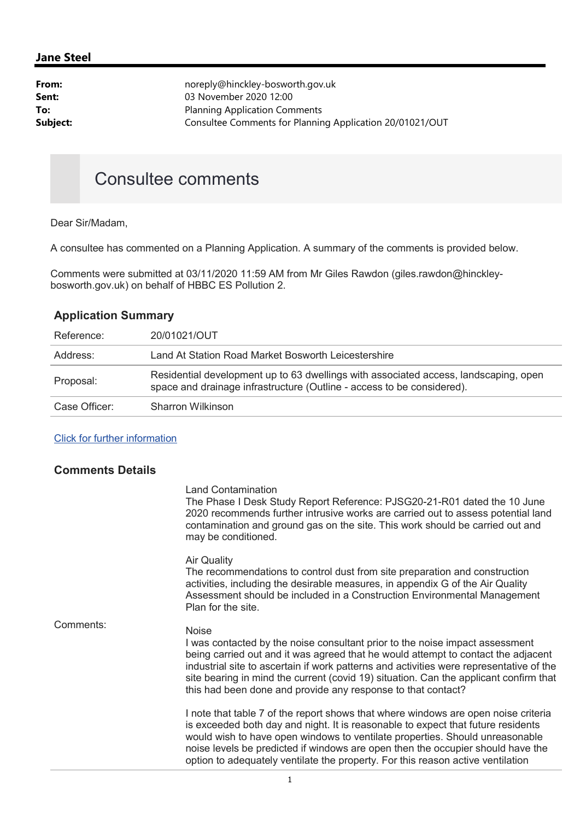## Jane Steel

| From:    | noreply@hinckley-bosworth.gov.uk                         |
|----------|----------------------------------------------------------|
| Sent:    | 03 November 2020 12:00                                   |
| To:      | <b>Planning Application Comments</b>                     |
| Subject: | Consultee Comments for Planning Application 20/01021/OUT |
|          |                                                          |

## Consultee comments

Dear Sir/Madam,

A consultee has commented on a Planning Application. A summary of the comments is provided below.

Comments were submitted at 03/11/2020 11:59 AM from Mr Giles Rawdon (giles.rawdon@hinckleybosworth.gov.uk) on behalf of HBBC ES Pollution 2.

## Application Summary

| Reference:    | 20/01021/OUT                                                                                                                                                   |
|---------------|----------------------------------------------------------------------------------------------------------------------------------------------------------------|
| Address:      | Land At Station Road Market Bosworth Leicestershire                                                                                                            |
| Proposal:     | Residential development up to 63 dwellings with associated access, landscaping, open<br>space and drainage infrastructure (Outline - access to be considered). |
| Case Officer: | <b>Sharron Wilkinson</b>                                                                                                                                       |

## Click for further information

| <b>Comments Details</b> |                                                                                                                                                                                                                                                                                                                                                                                                                                       |
|-------------------------|---------------------------------------------------------------------------------------------------------------------------------------------------------------------------------------------------------------------------------------------------------------------------------------------------------------------------------------------------------------------------------------------------------------------------------------|
|                         | <b>Land Contamination</b><br>The Phase I Desk Study Report Reference: PJSG20-21-R01 dated the 10 June<br>2020 recommends further intrusive works are carried out to assess potential land<br>contamination and ground gas on the site. This work should be carried out and<br>may be conditioned.                                                                                                                                     |
|                         | <b>Air Quality</b><br>The recommendations to control dust from site preparation and construction<br>activities, including the desirable measures, in appendix G of the Air Quality<br>Assessment should be included in a Construction Environmental Management<br>Plan for the site.                                                                                                                                                  |
| Comments:               | <b>Noise</b><br>I was contacted by the noise consultant prior to the noise impact assessment<br>being carried out and it was agreed that he would attempt to contact the adjacent<br>industrial site to ascertain if work patterns and activities were representative of the<br>site bearing in mind the current (covid 19) situation. Can the applicant confirm that<br>this had been done and provide any response to that contact? |
|                         | I note that table 7 of the report shows that where windows are open noise criteria<br>is exceeded both day and night. It is reasonable to expect that future residents<br>would wish to have open windows to ventilate properties. Should unreasonable<br>noise levels be predicted if windows are open then the occupier should have the<br>option to adequately ventilate the property. For this reason active ventilation          |